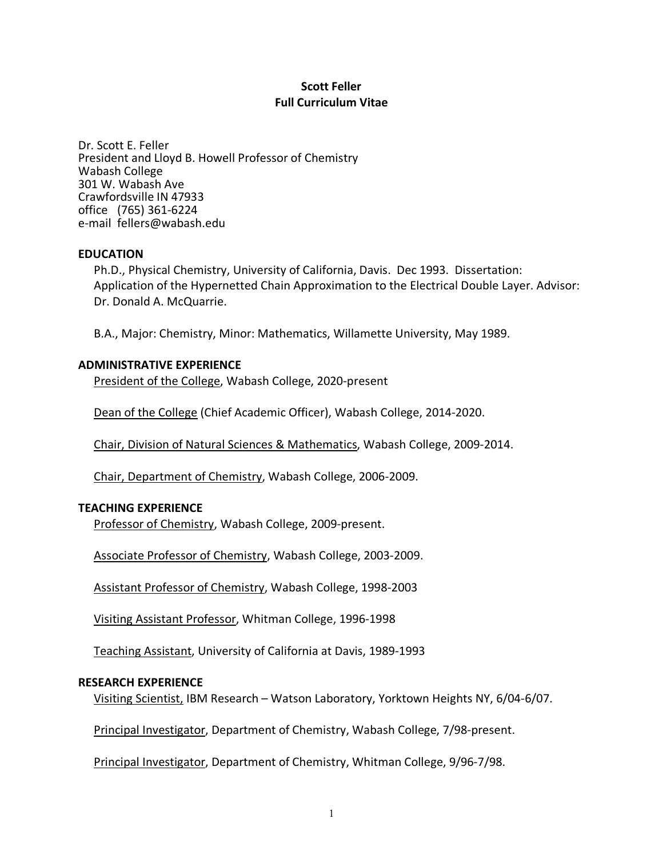## **Scott Feller Full Curriculum Vitae**

Dr. Scott E. Feller President and Lloyd B. Howell Professor of Chemistry Wabash College 301 W. Wabash Ave Crawfordsville IN 47933 office (765) 361-6224 e-mail fellers@wabash.edu

#### **EDUCATION**

Ph.D., Physical Chemistry, University of California, Davis. Dec 1993. Dissertation: Application of the Hypernetted Chain Approximation to the Electrical Double Layer. Advisor: Dr. Donald A. McQuarrie.

B.A., Major: Chemistry, Minor: Mathematics, Willamette University, May 1989.

### **ADMINISTRATIVE EXPERIENCE**

President of the College, Wabash College, 2020-present

Dean of the College (Chief Academic Officer), Wabash College, 2014-2020.

Chair, Division of Natural Sciences & Mathematics, Wabash College, 2009-2014.

Chair, Department of Chemistry, Wabash College, 2006-2009.

#### **TEACHING EXPERIENCE**

Professor of Chemistry, Wabash College, 2009-present.

Associate Professor of Chemistry, Wabash College, 2003-2009.

Assistant Professor of Chemistry, Wabash College, 1998-2003

Visiting Assistant Professor, Whitman College, 1996-1998

Teaching Assistant, University of California at Davis, 1989-1993

#### **RESEARCH EXPERIENCE**

Visiting Scientist, IBM Research – Watson Laboratory, Yorktown Heights NY, 6/04-6/07.

Principal Investigator, Department of Chemistry, Wabash College, 7/98-present.

Principal Investigator, Department of Chemistry, Whitman College, 9/96-7/98.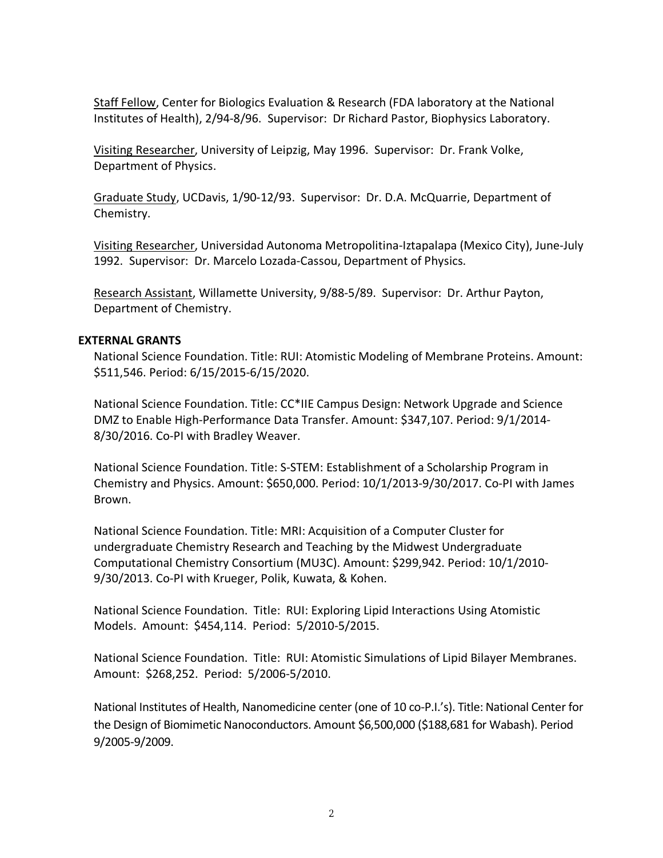Staff Fellow, Center for Biologics Evaluation & Research (FDA laboratory at the National Institutes of Health), 2/94-8/96. Supervisor: Dr Richard Pastor, Biophysics Laboratory.

Visiting Researcher, University of Leipzig, May 1996. Supervisor: Dr. Frank Volke, Department of Physics.

Graduate Study, UCDavis, 1/90-12/93. Supervisor: Dr. D.A. McQuarrie, Department of Chemistry.

Visiting Researcher, Universidad Autonoma Metropolitina-Iztapalapa (Mexico City), June-July 1992. Supervisor: Dr. Marcelo Lozada-Cassou, Department of Physics.

Research Assistant, Willamette University, 9/88-5/89. Supervisor: Dr. Arthur Payton, Department of Chemistry.

### **EXTERNAL GRANTS**

National Science Foundation. Title: RUI: Atomistic Modeling of Membrane Proteins. Amount: \$511,546. Period: 6/15/2015-6/15/2020.

National Science Foundation. Title: CC\*IIE Campus Design: Network Upgrade and Science DMZ to Enable High-Performance Data Transfer. Amount: \$347,107. Period: 9/1/2014- 8/30/2016. Co-PI with Bradley Weaver.

National Science Foundation. Title: S-STEM: Establishment of a Scholarship Program in Chemistry and Physics. Amount: \$650,000. Period: 10/1/2013-9/30/2017. Co-PI with James Brown.

National Science Foundation. Title: MRI: Acquisition of a Computer Cluster for undergraduate Chemistry Research and Teaching by the Midwest Undergraduate Computational Chemistry Consortium (MU3C). Amount: \$299,942. Period: 10/1/2010- 9/30/2013. Co-PI with Krueger, Polik, Kuwata, & Kohen.

National Science Foundation. Title: RUI: Exploring Lipid Interactions Using Atomistic Models. Amount: \$454,114. Period: 5/2010-5/2015.

National Science Foundation. Title: RUI: Atomistic Simulations of Lipid Bilayer Membranes. Amount: \$268,252. Period: 5/2006-5/2010.

National Institutes of Health, Nanomedicine center (one of 10 co-P.I.'s). Title: National Center for the Design of Biomimetic Nanoconductors. Amount \$6,500,000 (\$188,681 for Wabash). Period 9/2005-9/2009.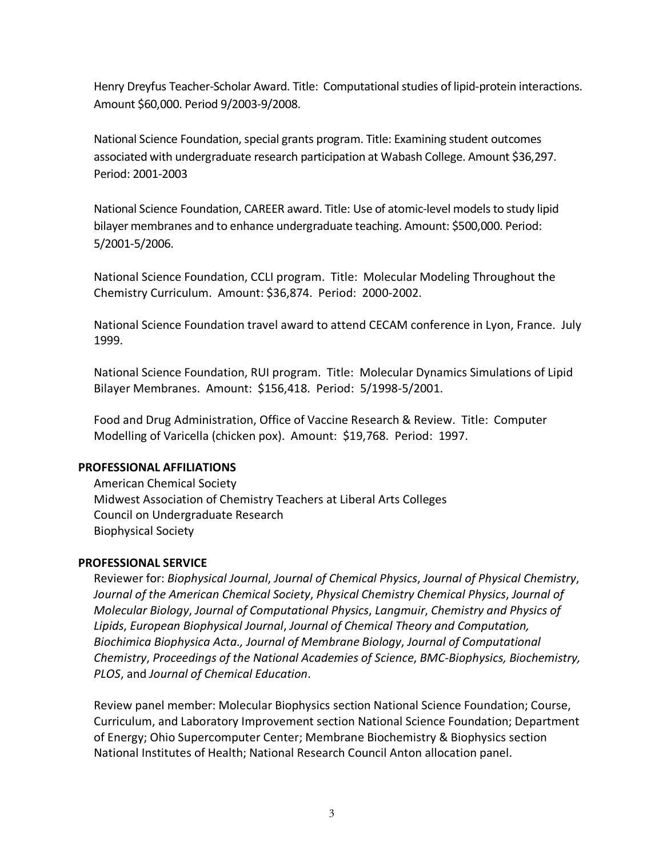Henry Dreyfus Teacher-Scholar Award. Title: Computational studies of lipid-protein interactions. Amount \$60,000. Period 9/2003-9/2008.

National Science Foundation, special grants program. Title: Examining student outcomes associated with undergraduate research participation at Wabash College. Amount \$36,297. Period: 2001-2003

National Science Foundation, CAREER award. Title: Use of atomic-level models to study lipid bilayer membranes and to enhance undergraduate teaching. Amount: \$500,000. Period: 5/2001-5/2006.

National Science Foundation, CCLI program. Title: Molecular Modeling Throughout the Chemistry Curriculum. Amount: \$36,874. Period: 2000-2002.

National Science Foundation travel award to attend CECAM conference in Lyon, France. July 1999.

National Science Foundation, RUI program. Title: Molecular Dynamics Simulations of Lipid Bilayer Membranes. Amount: \$156,418. Period: 5/1998-5/2001.

Food and Drug Administration, Office of Vaccine Research & Review. Title: Computer Modelling of Varicella (chicken pox). Amount: \$19,768. Period: 1997.

#### **PROFESSIONAL AFFILIATIONS**

American Chemical Society Midwest Association of Chemistry Teachers at Liberal Arts Colleges Council on Undergraduate Research Biophysical Society

## **PROFESSIONAL SERVICE**

Reviewer for: *Biophysical Journal*, *Journal of Chemical Physics*, *Journal of Physical Chemistry*, *Journal of the American Chemical Society*, *Physical Chemistry Chemical Physics*, *Journal of Molecular Biology*, *Journal of Computational Physics*, *Langmuir*, *Chemistry and Physics of Lipids*, *European Biophysical Journal*, *Journal of Chemical Theory and Computation, Biochimica Biophysica Acta., Journal of Membrane Biology*, *Journal of Computational Chemistry*, *Proceedings of the National Academies of Science*, *BMC-Biophysics, Biochemistry, PLOS*, and *Journal of Chemical Education*.

Review panel member: Molecular Biophysics section National Science Foundation; Course, Curriculum, and Laboratory Improvement section National Science Foundation; Department of Energy; Ohio Supercomputer Center; Membrane Biochemistry & Biophysics section National Institutes of Health; National Research Council Anton allocation panel.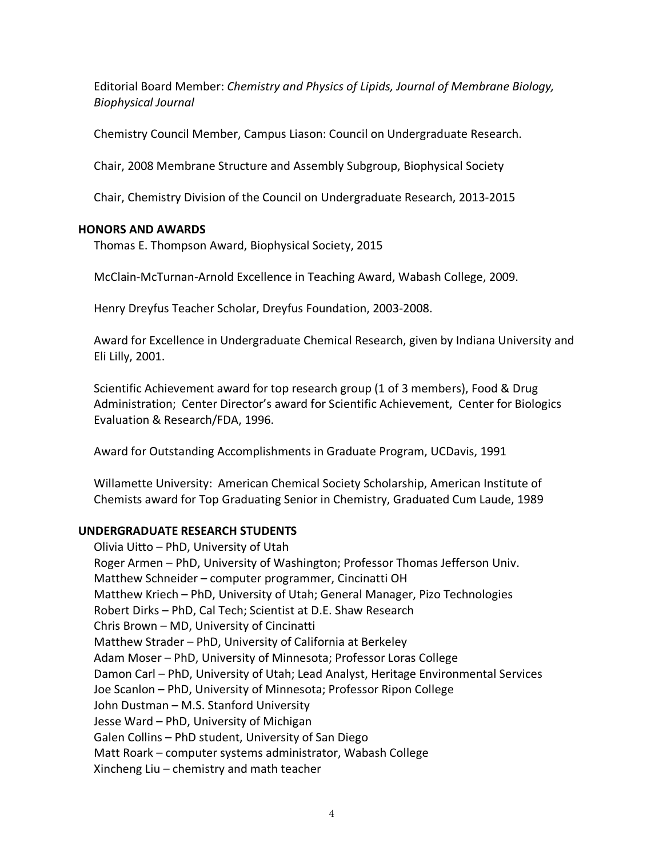Editorial Board Member: *Chemistry and Physics of Lipids, Journal of Membrane Biology, Biophysical Journal*

Chemistry Council Member, Campus Liason: Council on Undergraduate Research.

Chair, 2008 Membrane Structure and Assembly Subgroup, Biophysical Society

Chair, Chemistry Division of the Council on Undergraduate Research, 2013-2015

## **HONORS AND AWARDS**

Thomas E. Thompson Award, Biophysical Society, 2015

McClain-McTurnan-Arnold Excellence in Teaching Award, Wabash College, 2009.

Henry Dreyfus Teacher Scholar, Dreyfus Foundation, 2003-2008.

Award for Excellence in Undergraduate Chemical Research, given by Indiana University and Eli Lilly, 2001.

Scientific Achievement award for top research group (1 of 3 members), Food & Drug Administration; Center Director's award for Scientific Achievement, Center for Biologics Evaluation & Research/FDA, 1996.

Award for Outstanding Accomplishments in Graduate Program, UCDavis, 1991

Willamette University: American Chemical Society Scholarship, American Institute of Chemists award for Top Graduating Senior in Chemistry, Graduated Cum Laude, 1989

## **UNDERGRADUATE RESEARCH STUDENTS**

Olivia Uitto – PhD, University of Utah Roger Armen – PhD, University of Washington; Professor Thomas Jefferson Univ. Matthew Schneider – computer programmer, Cincinatti OH Matthew Kriech – PhD, University of Utah; General Manager, Pizo Technologies Robert Dirks – PhD, Cal Tech; Scientist at D.E. Shaw Research Chris Brown – MD, University of Cincinatti Matthew Strader – PhD, University of California at Berkeley Adam Moser – PhD, University of Minnesota; Professor Loras College Damon Carl – PhD, University of Utah; Lead Analyst, Heritage Environmental Services Joe Scanlon – PhD, University of Minnesota; Professor Ripon College John Dustman – M.S. Stanford University Jesse Ward – PhD, University of Michigan Galen Collins – PhD student, University of San Diego Matt Roark – computer systems administrator, Wabash College Xincheng Liu – chemistry and math teacher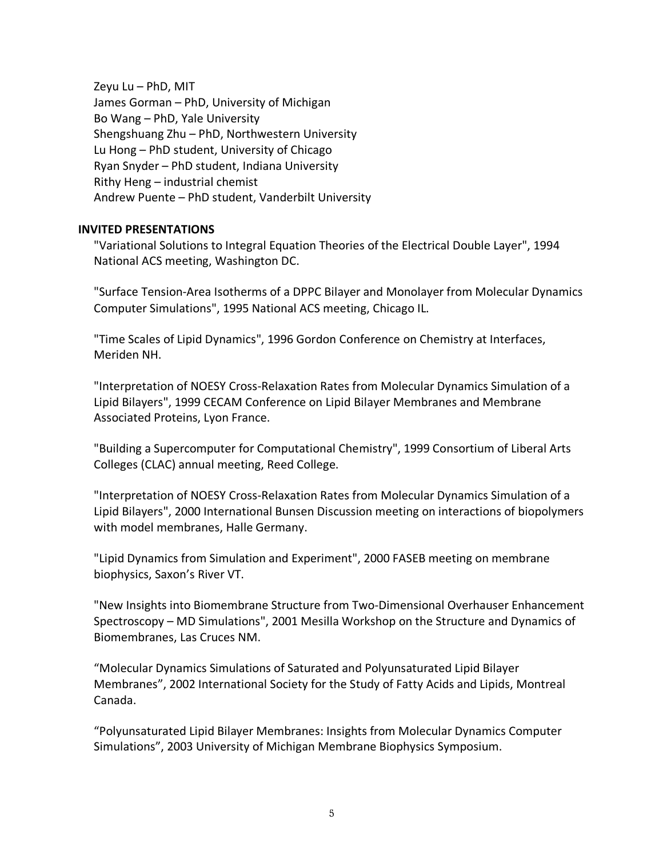Zeyu Lu – PhD, MIT James Gorman – PhD, University of Michigan Bo Wang – PhD, Yale University Shengshuang Zhu – PhD, Northwestern University Lu Hong – PhD student, University of Chicago Ryan Snyder – PhD student, Indiana University Rithy Heng – industrial chemist Andrew Puente – PhD student, Vanderbilt University

## **INVITED PRESENTATIONS**

"Variational Solutions to Integral Equation Theories of the Electrical Double Layer", 1994 National ACS meeting, Washington DC.

"Surface Tension-Area Isotherms of a DPPC Bilayer and Monolayer from Molecular Dynamics Computer Simulations", 1995 National ACS meeting, Chicago IL.

"Time Scales of Lipid Dynamics", 1996 Gordon Conference on Chemistry at Interfaces, Meriden NH.

"Interpretation of NOESY Cross-Relaxation Rates from Molecular Dynamics Simulation of a Lipid Bilayers", 1999 CECAM Conference on Lipid Bilayer Membranes and Membrane Associated Proteins, Lyon France.

"Building a Supercomputer for Computational Chemistry", 1999 Consortium of Liberal Arts Colleges (CLAC) annual meeting, Reed College.

"Interpretation of NOESY Cross-Relaxation Rates from Molecular Dynamics Simulation of a Lipid Bilayers", 2000 International Bunsen Discussion meeting on interactions of biopolymers with model membranes, Halle Germany.

"Lipid Dynamics from Simulation and Experiment", 2000 FASEB meeting on membrane biophysics, Saxon's River VT.

"New Insights into Biomembrane Structure from Two-Dimensional Overhauser Enhancement Spectroscopy – MD Simulations", 2001 Mesilla Workshop on the Structure and Dynamics of Biomembranes, Las Cruces NM.

"Molecular Dynamics Simulations of Saturated and Polyunsaturated Lipid Bilayer Membranes", 2002 International Society for the Study of Fatty Acids and Lipids, Montreal Canada.

"Polyunsaturated Lipid Bilayer Membranes: Insights from Molecular Dynamics Computer Simulations", 2003 University of Michigan Membrane Biophysics Symposium.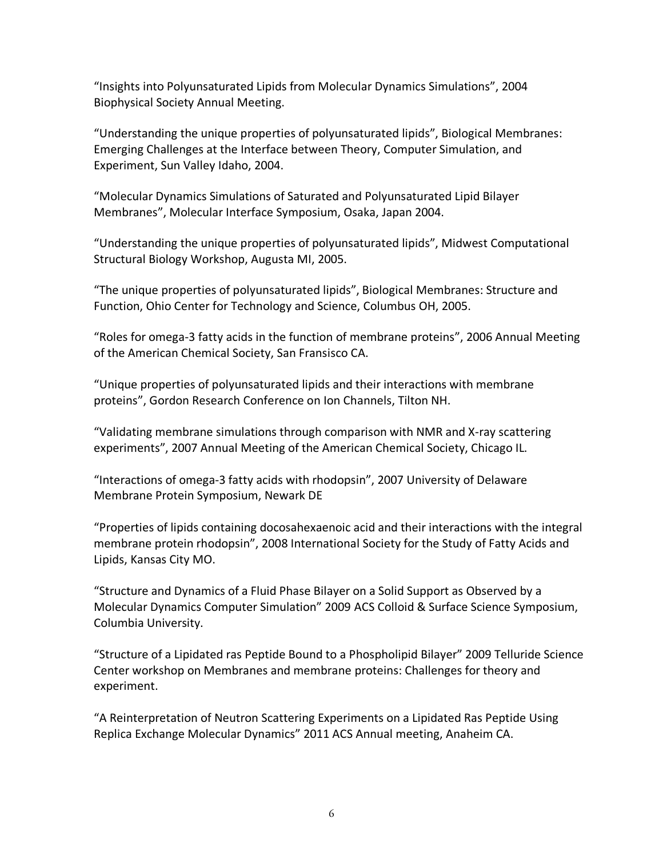"Insights into Polyunsaturated Lipids from Molecular Dynamics Simulations", 2004 Biophysical Society Annual Meeting.

"Understanding the unique properties of polyunsaturated lipids", Biological Membranes: Emerging Challenges at the Interface between Theory, Computer Simulation, and Experiment, Sun Valley Idaho, 2004.

"Molecular Dynamics Simulations of Saturated and Polyunsaturated Lipid Bilayer Membranes", Molecular Interface Symposium, Osaka, Japan 2004.

"Understanding the unique properties of polyunsaturated lipids", Midwest Computational Structural Biology Workshop, Augusta MI, 2005.

"The unique properties of polyunsaturated lipids", Biological Membranes: Structure and Function, Ohio Center for Technology and Science, Columbus OH, 2005.

"Roles for omega-3 fatty acids in the function of membrane proteins", 2006 Annual Meeting of the American Chemical Society, San Fransisco CA.

"Unique properties of polyunsaturated lipids and their interactions with membrane proteins", Gordon Research Conference on Ion Channels, Tilton NH.

"Validating membrane simulations through comparison with NMR and X-ray scattering experiments", 2007 Annual Meeting of the American Chemical Society, Chicago IL.

"Interactions of omega-3 fatty acids with rhodopsin", 2007 University of Delaware Membrane Protein Symposium, Newark DE

"Properties of lipids containing docosahexaenoic acid and their interactions with the integral membrane protein rhodopsin", 2008 International Society for the Study of Fatty Acids and Lipids, Kansas City MO.

"Structure and Dynamics of a Fluid Phase Bilayer on a Solid Support as Observed by a Molecular Dynamics Computer Simulation" 2009 ACS Colloid & Surface Science Symposium, Columbia University.

"Structure of a Lipidated ras Peptide Bound to a Phospholipid Bilayer" 2009 Telluride Science Center workshop on Membranes and membrane proteins: Challenges for theory and experiment.

"A Reinterpretation of Neutron Scattering Experiments on a Lipidated Ras Peptide Using Replica Exchange Molecular Dynamics" 2011 ACS Annual meeting, Anaheim CA.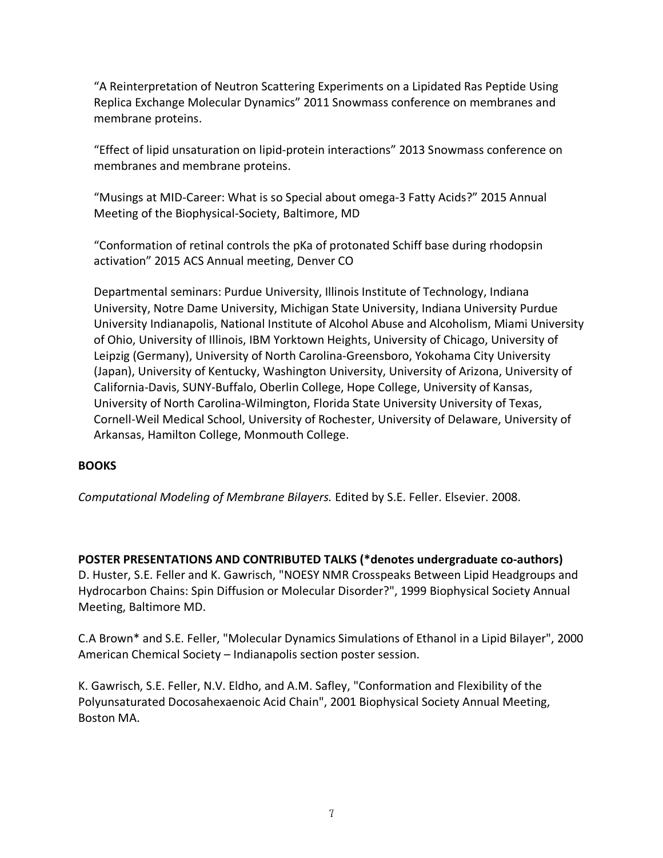"A Reinterpretation of Neutron Scattering Experiments on a Lipidated Ras Peptide Using Replica Exchange Molecular Dynamics" 2011 Snowmass conference on membranes and membrane proteins.

"Effect of lipid unsaturation on lipid-protein interactions" 2013 Snowmass conference on membranes and membrane proteins.

"Musings at MID-Career: What is so Special about omega-3 Fatty Acids?" 2015 Annual Meeting of the Biophysical-Society, Baltimore, MD

"Conformation of retinal controls the pKa of protonated Schiff base during rhodopsin activation" 2015 ACS Annual meeting, Denver CO

Departmental seminars: Purdue University, Illinois Institute of Technology, Indiana University, Notre Dame University, Michigan State University, Indiana University Purdue University Indianapolis, National Institute of Alcohol Abuse and Alcoholism, Miami University of Ohio, University of Illinois, IBM Yorktown Heights, University of Chicago, University of Leipzig (Germany), University of North Carolina-Greensboro, Yokohama City University (Japan), University of Kentucky, Washington University, University of Arizona, University of California-Davis, SUNY-Buffalo, Oberlin College, Hope College, University of Kansas, University of North Carolina-Wilmington, Florida State University University of Texas, Cornell-Weil Medical School, University of Rochester, University of Delaware, University of Arkansas, Hamilton College, Monmouth College.

# **BOOKS**

*Computational Modeling of Membrane Bilayers.* Edited by S.E. Feller. Elsevier. 2008.

**POSTER PRESENTATIONS AND CONTRIBUTED TALKS (\*denotes undergraduate co-authors)** D. Huster, S.E. Feller and K. Gawrisch, "NOESY NMR Crosspeaks Between Lipid Headgroups and Hydrocarbon Chains: Spin Diffusion or Molecular Disorder?", 1999 Biophysical Society Annual Meeting, Baltimore MD.

C.A Brown\* and S.E. Feller, "Molecular Dynamics Simulations of Ethanol in a Lipid Bilayer", 2000 American Chemical Society – Indianapolis section poster session.

K. Gawrisch, S.E. Feller, N.V. Eldho, and A.M. Safley, "Conformation and Flexibility of the Polyunsaturated Docosahexaenoic Acid Chain", 2001 Biophysical Society Annual Meeting, Boston MA.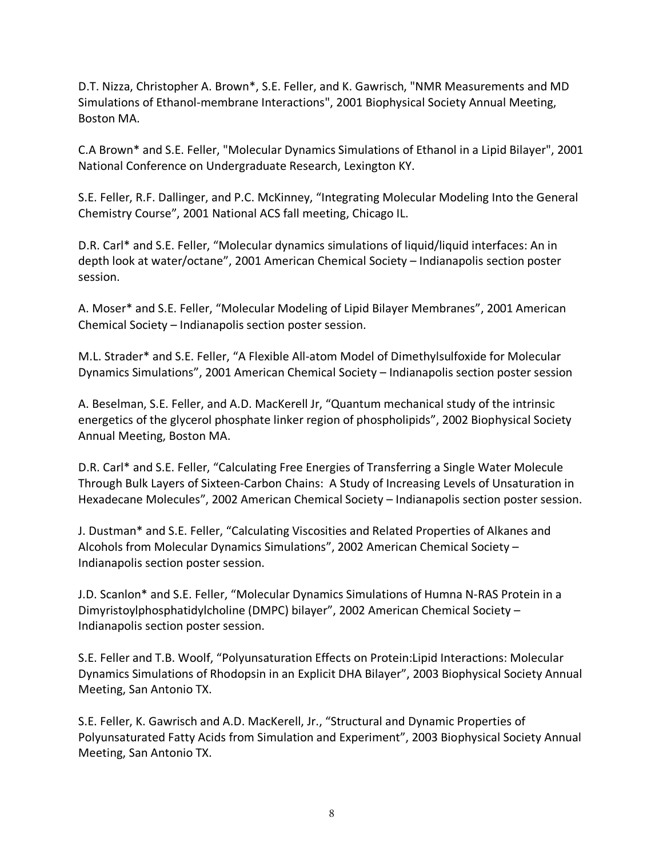D.T. Nizza, Christopher A. Brown\*, S.E. Feller, and K. Gawrisch, "NMR Measurements and MD Simulations of Ethanol-membrane Interactions", 2001 Biophysical Society Annual Meeting, Boston MA.

C.A Brown\* and S.E. Feller, "Molecular Dynamics Simulations of Ethanol in a Lipid Bilayer", 2001 National Conference on Undergraduate Research, Lexington KY.

S.E. Feller, R.F. Dallinger, and P.C. McKinney, "Integrating Molecular Modeling Into the General Chemistry Course", 2001 National ACS fall meeting, Chicago IL.

D.R. Carl\* and S.E. Feller, "Molecular dynamics simulations of liquid/liquid interfaces: An in depth look at water/octane", 2001 American Chemical Society – Indianapolis section poster session.

A. Moser\* and S.E. Feller, "Molecular Modeling of Lipid Bilayer Membranes", 2001 American Chemical Society – Indianapolis section poster session.

M.L. Strader\* and S.E. Feller, "A Flexible All-atom Model of Dimethylsulfoxide for Molecular Dynamics Simulations", 2001 American Chemical Society – Indianapolis section poster session

A. Beselman, S.E. Feller, and A.D. MacKerell Jr, "Quantum mechanical study of the intrinsic energetics of the glycerol phosphate linker region of phospholipids", 2002 Biophysical Society Annual Meeting, Boston MA.

D.R. Carl\* and S.E. Feller, "Calculating Free Energies of Transferring a Single Water Molecule Through Bulk Layers of Sixteen-Carbon Chains: A Study of Increasing Levels of Unsaturation in Hexadecane Molecules", 2002 American Chemical Society – Indianapolis section poster session.

J. Dustman\* and S.E. Feller, "Calculating Viscosities and Related Properties of Alkanes and Alcohols from Molecular Dynamics Simulations", 2002 American Chemical Society – Indianapolis section poster session.

J.D. Scanlon\* and S.E. Feller, "Molecular Dynamics Simulations of Humna N-RAS Protein in a Dimyristoylphosphatidylcholine (DMPC) bilayer", 2002 American Chemical Society – Indianapolis section poster session.

S.E. Feller and T.B. Woolf, "Polyunsaturation Effects on Protein:Lipid Interactions: Molecular Dynamics Simulations of Rhodopsin in an Explicit DHA Bilayer", 2003 Biophysical Society Annual Meeting, San Antonio TX.

S.E. Feller, K. Gawrisch and A.D. MacKerell, Jr., "Structural and Dynamic Properties of Polyunsaturated Fatty Acids from Simulation and Experiment", 2003 Biophysical Society Annual Meeting, San Antonio TX.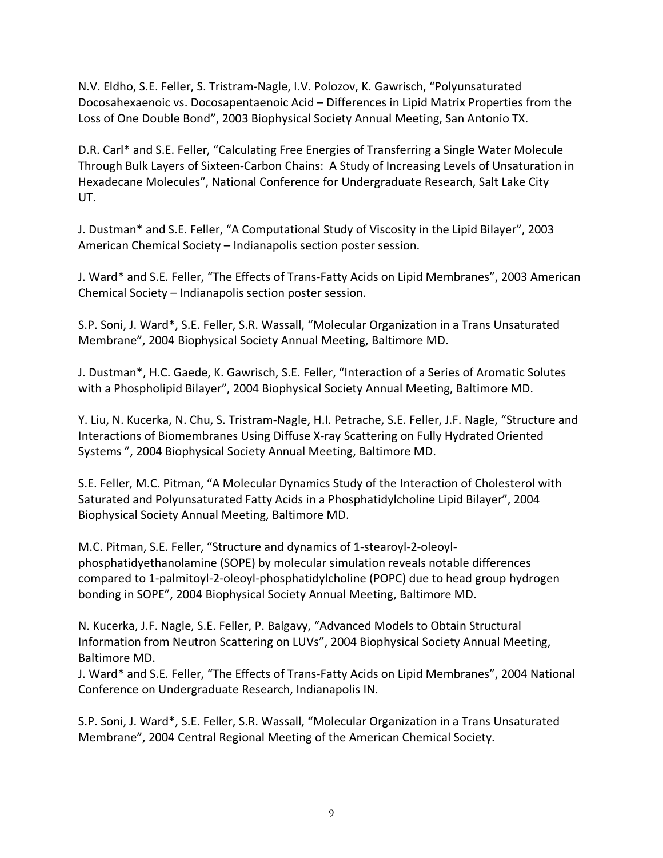N.V. Eldho, S.E. Feller, S. Tristram-Nagle, I.V. Polozov, K. Gawrisch, "Polyunsaturated Docosahexaenoic vs. Docosapentaenoic Acid – Differences in Lipid Matrix Properties from the Loss of One Double Bond", 2003 Biophysical Society Annual Meeting, San Antonio TX.

D.R. Carl\* and S.E. Feller, "Calculating Free Energies of Transferring a Single Water Molecule Through Bulk Layers of Sixteen-Carbon Chains: A Study of Increasing Levels of Unsaturation in Hexadecane Molecules", National Conference for Undergraduate Research, Salt Lake City UT.

J. Dustman\* and S.E. Feller, "A Computational Study of Viscosity in the Lipid Bilayer", 2003 American Chemical Society – Indianapolis section poster session.

J. Ward\* and S.E. Feller, "The Effects of Trans-Fatty Acids on Lipid Membranes", 2003 American Chemical Society – Indianapolis section poster session.

S.P. Soni, J. Ward\*, S.E. Feller, S.R. Wassall, "Molecular Organization in a Trans Unsaturated Membrane", 2004 Biophysical Society Annual Meeting, Baltimore MD.

J. Dustman\*, H.C. Gaede, K. Gawrisch, S.E. Feller, "Interaction of a Series of Aromatic Solutes with a Phospholipid Bilayer", 2004 Biophysical Society Annual Meeting, Baltimore MD.

Y. Liu, N. Kucerka, N. Chu, S. Tristram-Nagle, H.I. Petrache, S.E. Feller, J.F. Nagle, "Structure and Interactions of Biomembranes Using Diffuse X-ray Scattering on Fully Hydrated Oriented Systems ", 2004 Biophysical Society Annual Meeting, Baltimore MD.

S.E. Feller, M.C. Pitman, "A Molecular Dynamics Study of the Interaction of Cholesterol with Saturated and Polyunsaturated Fatty Acids in a Phosphatidylcholine Lipid Bilayer", 2004 Biophysical Society Annual Meeting, Baltimore MD.

M.C. Pitman, S.E. Feller, "Structure and dynamics of 1-stearoyl-2-oleoylphosphatidyethanolamine (SOPE) by molecular simulation reveals notable differences compared to 1-palmitoyl-2-oleoyl-phosphatidylcholine (POPC) due to head group hydrogen bonding in SOPE", 2004 Biophysical Society Annual Meeting, Baltimore MD.

N. Kucerka, J.F. Nagle, S.E. Feller, P. Balgavy, "Advanced Models to Obtain Structural Information from Neutron Scattering on LUVs", 2004 Biophysical Society Annual Meeting, Baltimore MD.

J. Ward\* and S.E. Feller, "The Effects of Trans-Fatty Acids on Lipid Membranes", 2004 National Conference on Undergraduate Research, Indianapolis IN.

S.P. Soni, J. Ward\*, S.E. Feller, S.R. Wassall, "Molecular Organization in a Trans Unsaturated Membrane", 2004 Central Regional Meeting of the American Chemical Society.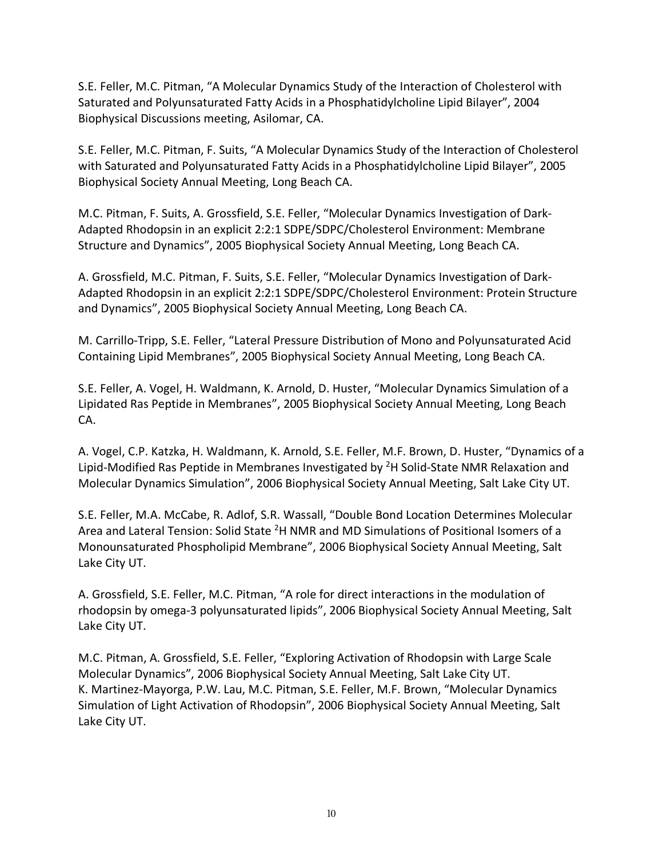S.E. Feller, M.C. Pitman, "A Molecular Dynamics Study of the Interaction of Cholesterol with Saturated and Polyunsaturated Fatty Acids in a Phosphatidylcholine Lipid Bilayer", 2004 Biophysical Discussions meeting, Asilomar, CA.

S.E. Feller, M.C. Pitman, F. Suits, "A Molecular Dynamics Study of the Interaction of Cholesterol with Saturated and Polyunsaturated Fatty Acids in a Phosphatidylcholine Lipid Bilayer", 2005 Biophysical Society Annual Meeting, Long Beach CA.

M.C. Pitman, F. Suits, A. Grossfield, S.E. Feller, "Molecular Dynamics Investigation of Dark-Adapted Rhodopsin in an explicit 2:2:1 SDPE/SDPC/Cholesterol Environment: Membrane Structure and Dynamics", 2005 Biophysical Society Annual Meeting, Long Beach CA.

A. Grossfield, M.C. Pitman, F. Suits, S.E. Feller, "Molecular Dynamics Investigation of Dark-Adapted Rhodopsin in an explicit 2:2:1 SDPE/SDPC/Cholesterol Environment: Protein Structure and Dynamics", 2005 Biophysical Society Annual Meeting, Long Beach CA.

M. Carrillo-Tripp, S.E. Feller, "Lateral Pressure Distribution of Mono and Polyunsaturated Acid Containing Lipid Membranes", 2005 Biophysical Society Annual Meeting, Long Beach CA.

S.E. Feller, A. Vogel, H. Waldmann, K. Arnold, D. Huster, "Molecular Dynamics Simulation of a Lipidated Ras Peptide in Membranes", 2005 Biophysical Society Annual Meeting, Long Beach CA.

A. Vogel, C.P. Katzka, H. Waldmann, K. Arnold, S.E. Feller, M.F. Brown, D. Huster, "Dynamics of a Lipid-Modified Ras Peptide in Membranes Investigated by <sup>2</sup>H Solid-State NMR Relaxation and Molecular Dynamics Simulation", 2006 Biophysical Society Annual Meeting, Salt Lake City UT.

S.E. Feller, M.A. McCabe, R. Adlof, S.R. Wassall, "Double Bond Location Determines Molecular Area and Lateral Tension: Solid State <sup>2</sup>H NMR and MD Simulations of Positional Isomers of a Monounsaturated Phospholipid Membrane", 2006 Biophysical Society Annual Meeting, Salt Lake City UT.

A. Grossfield, S.E. Feller, M.C. Pitman, "A role for direct interactions in the modulation of rhodopsin by omega-3 polyunsaturated lipids", 2006 Biophysical Society Annual Meeting, Salt Lake City UT.

M.C. Pitman, A. Grossfield, S.E. Feller, "Exploring Activation of Rhodopsin with Large Scale Molecular Dynamics", 2006 Biophysical Society Annual Meeting, Salt Lake City UT. K. Martinez-Mayorga, P.W. Lau, M.C. Pitman, S.E. Feller, M.F. Brown, "Molecular Dynamics Simulation of Light Activation of Rhodopsin", 2006 Biophysical Society Annual Meeting, Salt Lake City UT.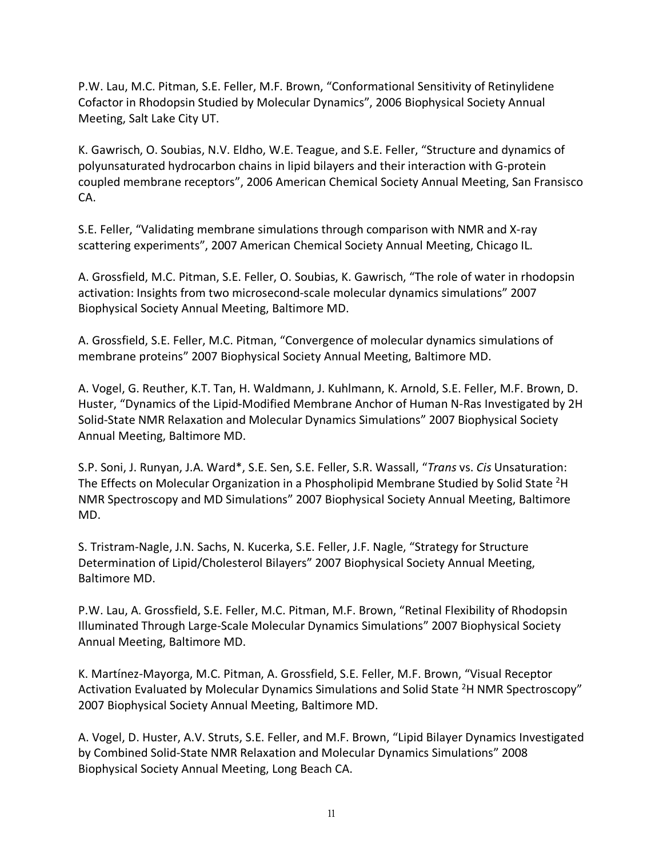P.W. Lau, M.C. Pitman, S.E. Feller, M.F. Brown, "Conformational Sensitivity of Retinylidene Cofactor in Rhodopsin Studied by Molecular Dynamics", 2006 Biophysical Society Annual Meeting, Salt Lake City UT.

K. Gawrisch, O. Soubias, N.V. Eldho, W.E. Teague, and S.E. Feller, "Structure and dynamics of polyunsaturated hydrocarbon chains in lipid bilayers and their interaction with G-protein coupled membrane receptors", 2006 American Chemical Society Annual Meeting, San Fransisco CA.

S.E. Feller, "Validating membrane simulations through comparison with NMR and X-ray scattering experiments", 2007 American Chemical Society Annual Meeting, Chicago IL.

A. Grossfield, M.C. Pitman, S.E. Feller, O. Soubias, K. Gawrisch, "The role of water in rhodopsin activation: Insights from two microsecond-scale molecular dynamics simulations" 2007 Biophysical Society Annual Meeting, Baltimore MD.

A. Grossfield, S.E. Feller, M.C. Pitman, "Convergence of molecular dynamics simulations of membrane proteins" 2007 Biophysical Society Annual Meeting, Baltimore MD.

A. Vogel, G. Reuther, K.T. Tan, H. Waldmann, J. Kuhlmann, K. Arnold, S.E. Feller, M.F. Brown, D. Huster, "Dynamics of the Lipid-Modified Membrane Anchor of Human N-Ras Investigated by 2H Solid-State NMR Relaxation and Molecular Dynamics Simulations" 2007 Biophysical Society Annual Meeting, Baltimore MD.

S.P. Soni, J. Runyan, J.A. Ward\*, S.E. Sen, S.E. Feller, S.R. Wassall, "*Trans* vs. *Cis* Unsaturation: The Effects on Molecular Organization in a Phospholipid Membrane Studied by Solid State <sup>2</sup>H NMR Spectroscopy and MD Simulations" 2007 Biophysical Society Annual Meeting, Baltimore MD.

S. Tristram-Nagle, J.N. Sachs, N. Kucerka, S.E. Feller, J.F. Nagle, "Strategy for Structure Determination of Lipid/Cholesterol Bilayers" 2007 Biophysical Society Annual Meeting, Baltimore MD.

P.W. Lau, A. Grossfield, S.E. Feller, M.C. Pitman, M.F. Brown, "Retinal Flexibility of Rhodopsin Illuminated Through Large-Scale Molecular Dynamics Simulations" 2007 Biophysical Society Annual Meeting, Baltimore MD.

K. Martínez-Mayorga, M.C. Pitman, A. Grossfield, S.E. Feller, M.F. Brown, "Visual Receptor Activation Evaluated by Molecular Dynamics Simulations and Solid State <sup>2</sup>H NMR Spectroscopy" 2007 Biophysical Society Annual Meeting, Baltimore MD.

A. Vogel, D. Huster, A.V. Struts, S.E. Feller, and M.F. Brown, "Lipid Bilayer Dynamics Investigated by Combined Solid-State NMR Relaxation and Molecular Dynamics Simulations" 2008 Biophysical Society Annual Meeting, Long Beach CA.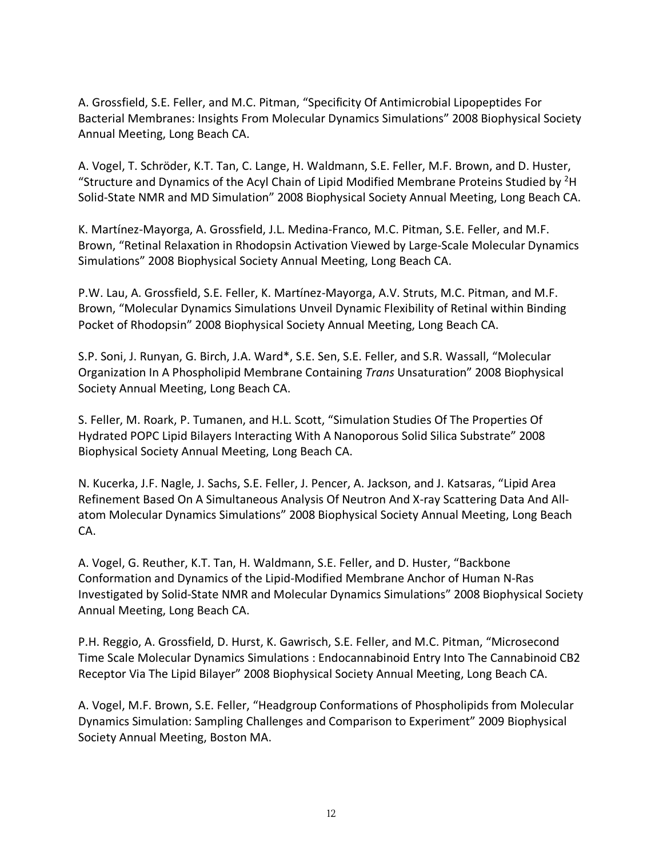A. Grossfield, S.E. Feller, and M.C. Pitman, "Specificity Of Antimicrobial Lipopeptides For Bacterial Membranes: Insights From Molecular Dynamics Simulations" 2008 Biophysical Society Annual Meeting, Long Beach CA.

A. Vogel, T. Schröder, K.T. Tan, C. Lange, H. Waldmann, S.E. Feller, M.F. Brown, and D. Huster, "Structure and Dynamics of the Acyl Chain of Lipid Modified Membrane Proteins Studied by  ${}^{2}$ H Solid-State NMR and MD Simulation" 2008 Biophysical Society Annual Meeting, Long Beach CA.

K. Martínez-Mayorga, A. Grossfield, J.L. Medina-Franco, M.C. Pitman, S.E. Feller, and M.F. Brown, "Retinal Relaxation in Rhodopsin Activation Viewed by Large-Scale Molecular Dynamics Simulations" 2008 Biophysical Society Annual Meeting, Long Beach CA.

P.W. Lau, A. Grossfield, S.E. Feller, K. Martínez-Mayorga, A.V. Struts, M.C. Pitman, and M.F. Brown, "Molecular Dynamics Simulations Unveil Dynamic Flexibility of Retinal within Binding Pocket of Rhodopsin" 2008 Biophysical Society Annual Meeting, Long Beach CA.

S.P. Soni, J. Runyan, G. Birch, J.A. Ward\*, S.E. Sen, S.E. Feller, and S.R. Wassall, "Molecular Organization In A Phospholipid Membrane Containing *Trans* Unsaturation" 2008 Biophysical Society Annual Meeting, Long Beach CA.

S. Feller, M. Roark, P. Tumanen, and H.L. Scott, "Simulation Studies Of The Properties Of Hydrated POPC Lipid Bilayers Interacting With A Nanoporous Solid Silica Substrate" 2008 Biophysical Society Annual Meeting, Long Beach CA.

N. Kucerka, J.F. Nagle, J. Sachs, S.E. Feller, J. Pencer, A. Jackson, and J. Katsaras, "Lipid Area Refinement Based On A Simultaneous Analysis Of Neutron And X-ray Scattering Data And Allatom Molecular Dynamics Simulations" 2008 Biophysical Society Annual Meeting, Long Beach CA.

A. Vogel, G. Reuther, K.T. Tan, H. Waldmann, S.E. Feller, and D. Huster, "Backbone Conformation and Dynamics of the Lipid-Modified Membrane Anchor of Human N-Ras Investigated by Solid-State NMR and Molecular Dynamics Simulations" 2008 Biophysical Society Annual Meeting, Long Beach CA.

P.H. Reggio, A. Grossfield, D. Hurst, K. Gawrisch, S.E. Feller, and M.C. Pitman, "Microsecond Time Scale Molecular Dynamics Simulations : Endocannabinoid Entry Into The Cannabinoid CB2 Receptor Via The Lipid Bilayer" 2008 Biophysical Society Annual Meeting, Long Beach CA.

A. Vogel, M.F. Brown, S.E. Feller, "Headgroup Conformations of Phospholipids from Molecular Dynamics Simulation: Sampling Challenges and Comparison to Experiment" 2009 Biophysical Society Annual Meeting, Boston MA.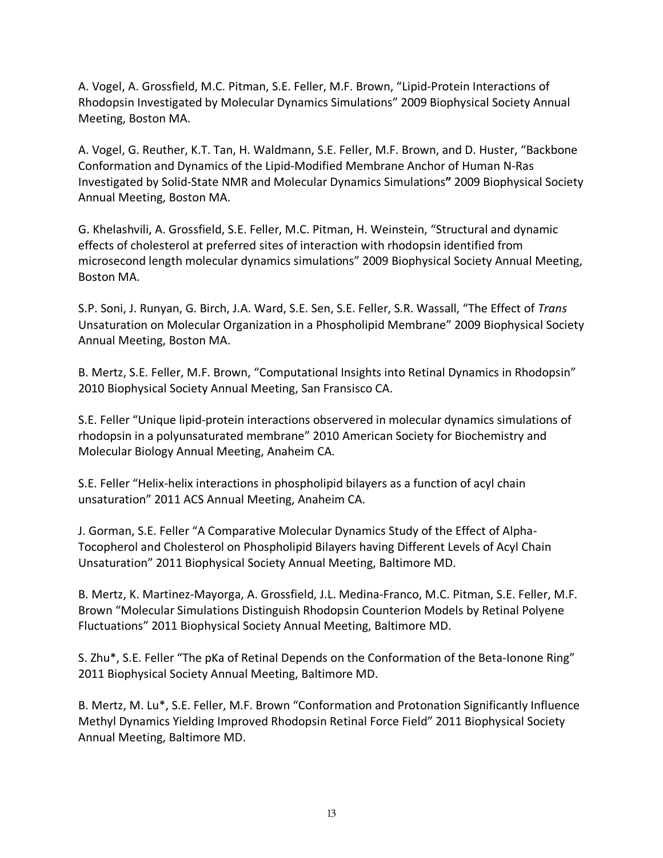A. Vogel, A. Grossfield, M.C. Pitman, S.E. Feller, M.F. Brown, "Lipid-Protein Interactions of Rhodopsin Investigated by Molecular Dynamics Simulations" 2009 Biophysical Society Annual Meeting, Boston MA.

A. Vogel, G. Reuther, K.T. Tan, H. Waldmann, S.E. Feller, M.F. Brown, and D. Huster, "Backbone Conformation and Dynamics of the Lipid-Modified Membrane Anchor of Human N-Ras Investigated by Solid-State NMR and Molecular Dynamics Simulations**"** 2009 Biophysical Society Annual Meeting, Boston MA.

G. Khelashvili, A. Grossfield, S.E. Feller, M.C. Pitman, H. Weinstein, "Structural and dynamic effects of cholesterol at preferred sites of interaction with rhodopsin identified from microsecond length molecular dynamics simulations" 2009 Biophysical Society Annual Meeting, Boston MA.

S.P. Soni, J. Runyan, G. Birch, J.A. Ward, S.E. Sen, S.E. Feller, S.R. Wassall, "The Effect of *Trans* Unsaturation on Molecular Organization in a Phospholipid Membrane" 2009 Biophysical Society Annual Meeting, Boston MA.

B. Mertz, S.E. Feller, M.F. Brown, "Computational Insights into Retinal Dynamics in Rhodopsin" 2010 Biophysical Society Annual Meeting, San Fransisco CA.

S.E. Feller "Unique lipid-protein interactions observered in molecular dynamics simulations of rhodopsin in a polyunsaturated membrane" 2010 American Society for Biochemistry and Molecular Biology Annual Meeting, Anaheim CA.

S.E. Feller "Helix-helix interactions in phospholipid bilayers as a function of acyl chain unsaturation" 2011 ACS Annual Meeting, Anaheim CA.

J. Gorman, S.E. Feller "A Comparative Molecular Dynamics Study of the Effect of Alpha-Tocopherol and Cholesterol on Phospholipid Bilayers having Different Levels of Acyl Chain Unsaturation" 2011 Biophysical Society Annual Meeting, Baltimore MD.

B. Mertz, K. Martinez-Mayorga, A. Grossfield, J.L. Medina-Franco, M.C. Pitman, S.E. Feller, M.F. Brown "Molecular Simulations Distinguish Rhodopsin Counterion Models by Retinal Polyene Fluctuations" 2011 Biophysical Society Annual Meeting, Baltimore MD.

S. Zhu\*, S.E. Feller "The pKa of Retinal Depends on the Conformation of the Beta-Ionone Ring" 2011 Biophysical Society Annual Meeting, Baltimore MD.

B. Mertz, M. Lu\*, S.E. Feller, M.F. Brown "Conformation and Protonation Significantly Influence Methyl Dynamics Yielding Improved Rhodopsin Retinal Force Field" 2011 Biophysical Society Annual Meeting, Baltimore MD.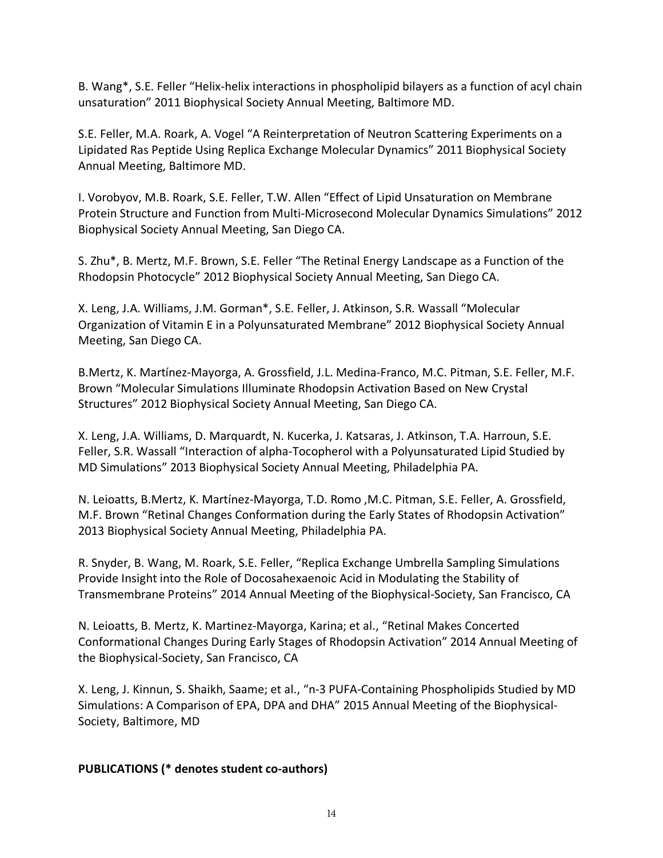B. Wang\*, S.E. Feller "Helix-helix interactions in phospholipid bilayers as a function of acyl chain unsaturation" 2011 Biophysical Society Annual Meeting, Baltimore MD.

S.E. Feller, M.A. Roark, A. Vogel "A Reinterpretation of Neutron Scattering Experiments on a Lipidated Ras Peptide Using Replica Exchange Molecular Dynamics" 2011 Biophysical Society Annual Meeting, Baltimore MD.

I. Vorobyov, M.B. Roark, S.E. Feller, T.W. Allen "Effect of Lipid Unsaturation on Membrane Protein Structure and Function from Multi-Microsecond Molecular Dynamics Simulations" 2012 Biophysical Society Annual Meeting, San Diego CA.

S. Zhu\*, B. Mertz, M.F. Brown, S.E. Feller "The Retinal Energy Landscape as a Function of the Rhodopsin Photocycle" 2012 Biophysical Society Annual Meeting, San Diego CA.

X. Leng, J.A. Williams, J.M. Gorman\*, S.E. Feller, J. Atkinson, S.R. Wassall "Molecular Organization of Vitamin E in a Polyunsaturated Membrane" 2012 Biophysical Society Annual Meeting, San Diego CA.

B.Mertz, K. Martínez-Mayorga, A. Grossfield, J.L. Medina-Franco, M.C. Pitman, S.E. Feller, M.F. Brown "Molecular Simulations Illuminate Rhodopsin Activation Based on New Crystal Structures" 2012 Biophysical Society Annual Meeting, San Diego CA.

X. Leng, J.A. Williams, D. Marquardt, N. Kucerka, J. Katsaras, J. Atkinson, T.A. Harroun, S.E. Feller, S.R. Wassall "Interaction of alpha-Tocopherol with a Polyunsaturated Lipid Studied by MD Simulations" 2013 Biophysical Society Annual Meeting, Philadelphia PA.

N. Leioatts, B.Mertz, K. Martínez-Mayorga, T.D. Romo ,M.C. Pitman, S.E. Feller, A. Grossfield, M.F. Brown "Retinal Changes Conformation during the Early States of Rhodopsin Activation" 2013 Biophysical Society Annual Meeting, Philadelphia PA.

R. Snyder, B. Wang, M. Roark, S.E. Feller, "Replica Exchange Umbrella Sampling Simulations Provide Insight into the Role of Docosahexaenoic Acid in Modulating the Stability of Transmembrane Proteins" 2014 Annual Meeting of the Biophysical-Society, San Francisco, CA

N. Leioatts, B. Mertz, K. Martinez-Mayorga, Karina; et al., "Retinal Makes Concerted Conformational Changes During Early Stages of Rhodopsin Activation" 2014 Annual Meeting of the Biophysical-Society, San Francisco, CA

X. Leng, J. Kinnun, S. Shaikh, Saame; et al., "n-3 PUFA-Containing Phospholipids Studied by MD Simulations: A Comparison of EPA, DPA and DHA" 2015 Annual Meeting of the Biophysical-Society, Baltimore, MD

# **PUBLICATIONS (\* denotes student co-authors)**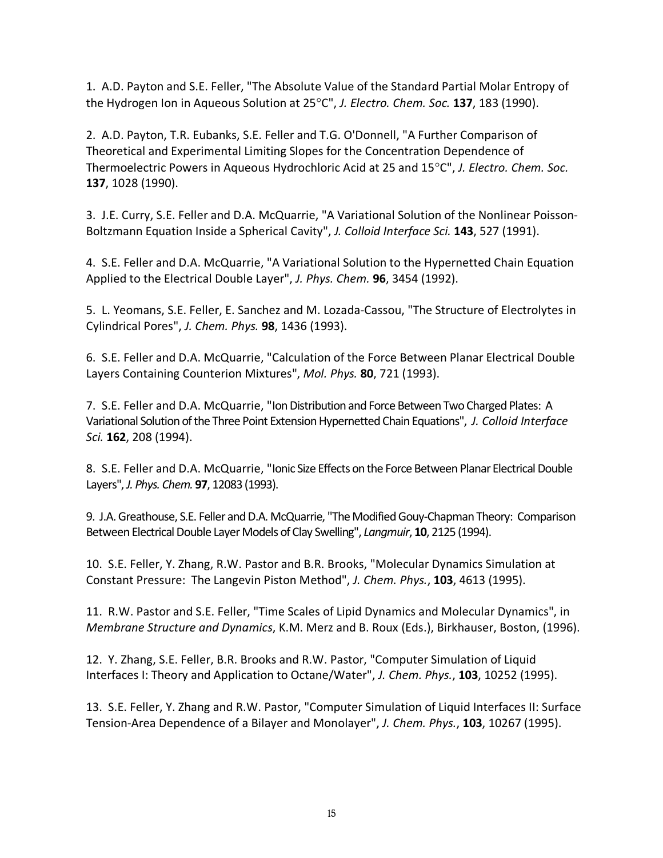1. A.D. Payton and S.E. Feller, "The Absolute Value of the Standard Partial Molar Entropy of the Hydrogen Ion in Aqueous Solution at 25°C", *J. Electro. Chem. Soc.* **137**, 183 (1990).

2. A.D. Payton, T.R. Eubanks, S.E. Feller and T.G. O'Donnell, "A Further Comparison of Theoretical and Experimental Limiting Slopes for the Concentration Dependence of Thermoelectric Powers in Aqueous Hydrochloric Acid at 25 and 15°C", *J. Electro. Chem. Soc.* **137**, 1028 (1990).

3. J.E. Curry, S.E. Feller and D.A. McQuarrie, "A Variational Solution of the Nonlinear Poisson-Boltzmann Equation Inside a Spherical Cavity", *J. Colloid Interface Sci.* **143**, 527 (1991).

4. S.E. Feller and D.A. McQuarrie, "A Variational Solution to the Hypernetted Chain Equation Applied to the Electrical Double Layer", *J. Phys. Chem.* **96**, 3454 (1992).

5. L. Yeomans, S.E. Feller, E. Sanchez and M. Lozada-Cassou, "The Structure of Electrolytes in Cylindrical Pores", *J. Chem. Phys.* **98**, 1436 (1993).

6. S.E. Feller and D.A. McQuarrie, "Calculation of the Force Between Planar Electrical Double Layers Containing Counterion Mixtures", *Mol. Phys.* **80**, 721 (1993).

7. S.E. Feller and D.A. McQuarrie, "Ion Distribution and Force Between Two Charged Plates: A Variational Solution of the Three Point Extension Hypernetted Chain Equations", *J. Colloid Interface Sci.* **162**, 208 (1994).

8. S.E. Feller and D.A. McQuarrie, "Ionic Size Effects on the Force Between Planar Electrical Double Layers", *J. Phys. Chem.* **97**, 12083 (1993).

9. J.A. Greathouse, S.E. Feller and D.A. McQuarrie, "The Modified Gouy-Chapman Theory: Comparison Between Electrical Double Layer Models of Clay Swelling", *Langmuir*, **10**, 2125 (1994).

10. S.E. Feller, Y. Zhang, R.W. Pastor and B.R. Brooks, "Molecular Dynamics Simulation at Constant Pressure: The Langevin Piston Method", *J. Chem. Phys.*, **103**, 4613 (1995).

11. R.W. Pastor and S.E. Feller, "Time Scales of Lipid Dynamics and Molecular Dynamics", in *Membrane Structure and Dynamics*, K.M. Merz and B. Roux (Eds.), Birkhauser, Boston, (1996).

12. Y. Zhang, S.E. Feller, B.R. Brooks and R.W. Pastor, "Computer Simulation of Liquid Interfaces I: Theory and Application to Octane/Water", *J. Chem. Phys.*, **103**, 10252 (1995).

13. S.E. Feller, Y. Zhang and R.W. Pastor, "Computer Simulation of Liquid Interfaces II: Surface Tension-Area Dependence of a Bilayer and Monolayer", *J. Chem. Phys.*, **103**, 10267 (1995).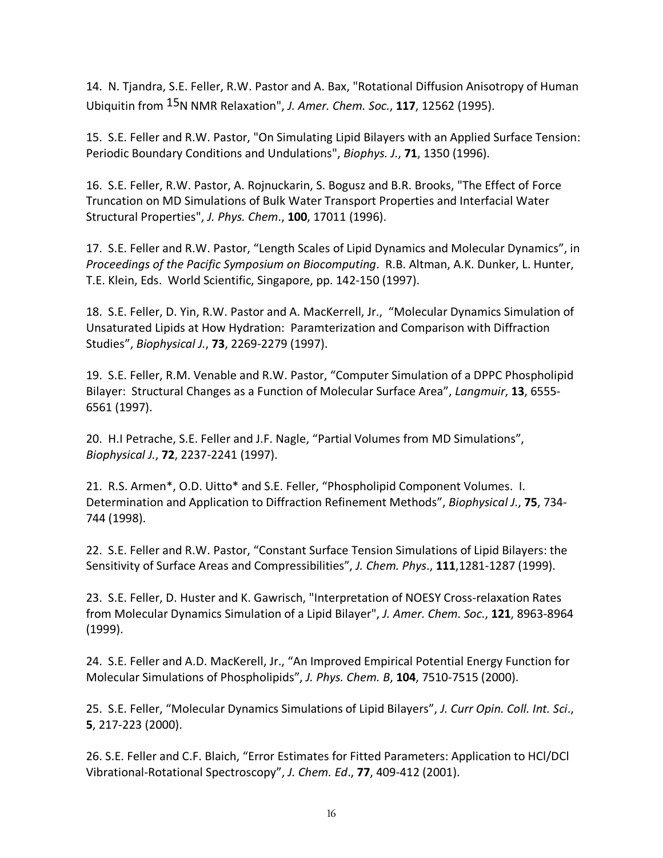14. N. Tjandra, S.E. Feller, R.W. Pastor and A. Bax, "Rotational Diffusion Anisotropy of Human Ubiquitin from 15N NMR Relaxation", *J. Amer. Chem. Soc.*, **117**, 12562 (1995).

15. S.E. Feller and R.W. Pastor, "On Simulating Lipid Bilayers with an Applied Surface Tension: Periodic Boundary Conditions and Undulations", *Biophys. J.*, **71**, 1350 (1996).

16. S.E. Feller, R.W. Pastor, A. Rojnuckarin, S. Bogusz and B.R. Brooks, "The Effect of Force Truncation on MD Simulations of Bulk Water Transport Properties and Interfacial Water Structural Properties", *J. Phys. Chem*., **100**, 17011 (1996).

17. S.E. Feller and R.W. Pastor, "Length Scales of Lipid Dynamics and Molecular Dynamics", in *Proceedings of the Pacific Symposium on Biocomputing*. R.B. Altman, A.K. Dunker, L. Hunter, T.E. Klein, Eds. World Scientific, Singapore, pp. 142-150 (1997).

18. S.E. Feller, D. Yin, R.W. Pastor and A. MacKerrell, Jr., "Molecular Dynamics Simulation of Unsaturated Lipids at How Hydration: Paramterization and Comparison with Diffraction Studies", *Biophysical J.*, **73**, 2269-2279 (1997).

19. S.E. Feller, R.M. Venable and R.W. Pastor, "Computer Simulation of a DPPC Phospholipid Bilayer: Structural Changes as a Function of Molecular Surface Area", *Langmuir*, **13**, 6555- 6561 (1997).

20. H.I Petrache, S.E. Feller and J.F. Nagle, "Partial Volumes from MD Simulations", *Biophysical J.*, **72**, 2237-2241 (1997).

21. R.S. Armen\*, O.D. Uitto\* and S.E. Feller, "Phospholipid Component Volumes. I. Determination and Application to Diffraction Refinement Methods", *Biophysical J.*, **75**, 734- 744 (1998).

22. S.E. Feller and R.W. Pastor, "Constant Surface Tension Simulations of Lipid Bilayers: the Sensitivity of Surface Areas and Compressibilities", *J. Chem. Phys*., **111**,1281-1287 (1999).

23. S.E. Feller, D. Huster and K. Gawrisch, "Interpretation of NOESY Cross-relaxation Rates from Molecular Dynamics Simulation of a Lipid Bilayer", *J. Amer. Chem. Soc.*, **121**, 8963-8964 (1999).

24. S.E. Feller and A.D. MacKerell, Jr., "An Improved Empirical Potential Energy Function for Molecular Simulations of Phospholipids", *J. Phys. Chem. B*, **104**, 7510-7515 (2000).

25. S.E. Feller, "Molecular Dynamics Simulations of Lipid Bilayers", *J. Curr Opin. Coll. Int. Sci*., **5**, 217-223 (2000).

26. S.E. Feller and C.F. Blaich, "Error Estimates for Fitted Parameters: Application to HCl/DCl Vibrational-Rotational Spectroscopy", *J. Chem. Ed*., **77**, 409-412 (2001).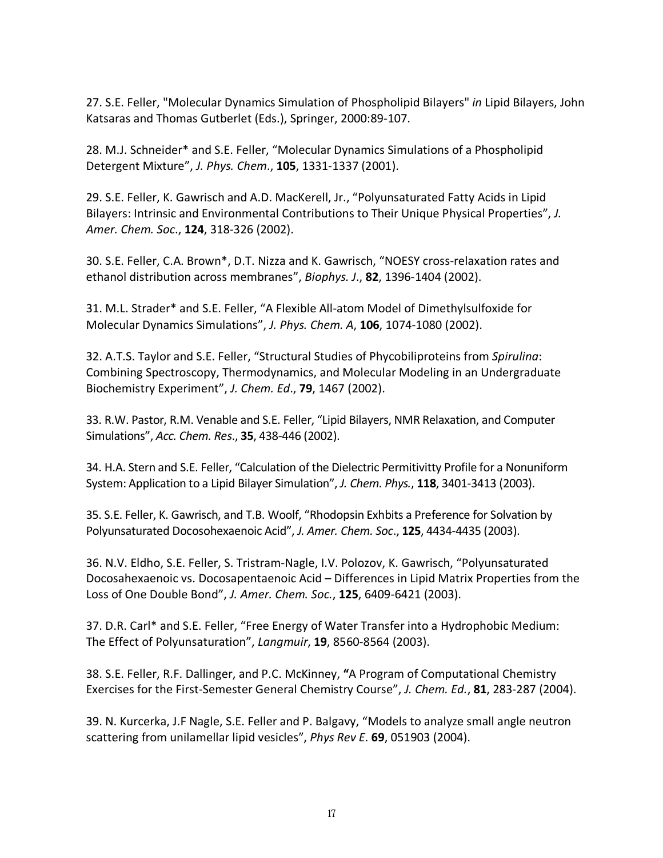27. S.E. Feller, "Molecular Dynamics Simulation of Phospholipid Bilayers" *in* Lipid Bilayers, John Katsaras and Thomas Gutberlet (Eds.), Springer, 2000:89-107.

28. M.J. Schneider\* and S.E. Feller, "Molecular Dynamics Simulations of a Phospholipid Detergent Mixture", *J. Phys. Chem*., **105**, 1331-1337 (2001).

29. S.E. Feller, K. Gawrisch and A.D. MacKerell, Jr., "Polyunsaturated Fatty Acids in Lipid Bilayers: Intrinsic and Environmental Contributions to Their Unique Physical Properties", *J. Amer. Chem. Soc*., **124**, 318-326 (2002).

30. S.E. Feller, C.A. Brown\*, D.T. Nizza and K. Gawrisch, "NOESY cross-relaxation rates and ethanol distribution across membranes", *Biophys. J*., **82**, 1396-1404 (2002).

31. M.L. Strader\* and S.E. Feller, "A Flexible All-atom Model of Dimethylsulfoxide for Molecular Dynamics Simulations", *J. Phys. Chem. A*, **106**, 1074-1080 (2002).

32. A.T.S. Taylor and S.E. Feller, "Structural Studies of Phycobiliproteins from *Spirulina*: Combining Spectroscopy, Thermodynamics, and Molecular Modeling in an Undergraduate Biochemistry Experiment", *J. Chem. Ed*., **79**, 1467 (2002).

33. R.W. Pastor, R.M. Venable and S.E. Feller, "Lipid Bilayers, NMR Relaxation, and Computer Simulations", *Acc. Chem. Res*., **35**, 438-446 (2002).

34. H.A. Stern and S.E. Feller, "Calculation of the Dielectric Permitivitty Profile for a Nonuniform System: Application to a Lipid Bilayer Simulation", *J. Chem. Phys.*, **118**, 3401-3413 (2003).

35. S.E. Feller, K. Gawrisch, and T.B. Woolf, "Rhodopsin Exhbits a Preference for Solvation by Polyunsaturated Docosohexaenoic Acid", *J. Amer. Chem. Soc*., **125**, 4434-4435 (2003).

36. N.V. Eldho, S.E. Feller, S. Tristram-Nagle, I.V. Polozov, K. Gawrisch, "Polyunsaturated Docosahexaenoic vs. Docosapentaenoic Acid – Differences in Lipid Matrix Properties from the Loss of One Double Bond", *J. Amer. Chem. Soc.*, **125**, 6409-6421 (2003).

37. D.R. Carl\* and S.E. Feller, "Free Energy of Water Transfer into a Hydrophobic Medium: The Effect of Polyunsaturation", *Langmuir*, **19**, 8560-8564 (2003).

38. S.E. Feller, R.F. Dallinger, and P.C. McKinney, **"**A Program of Computational Chemistry Exercises for the First-Semester General Chemistry Course", *J. Chem. Ed.*, **81**, 283-287 (2004).

39. N. Kurcerka, J.F Nagle, S.E. Feller and P. Balgavy, "Models to analyze small angle neutron scattering from unilamellar lipid vesicles", *Phys Rev E*. **69**, 051903 (2004).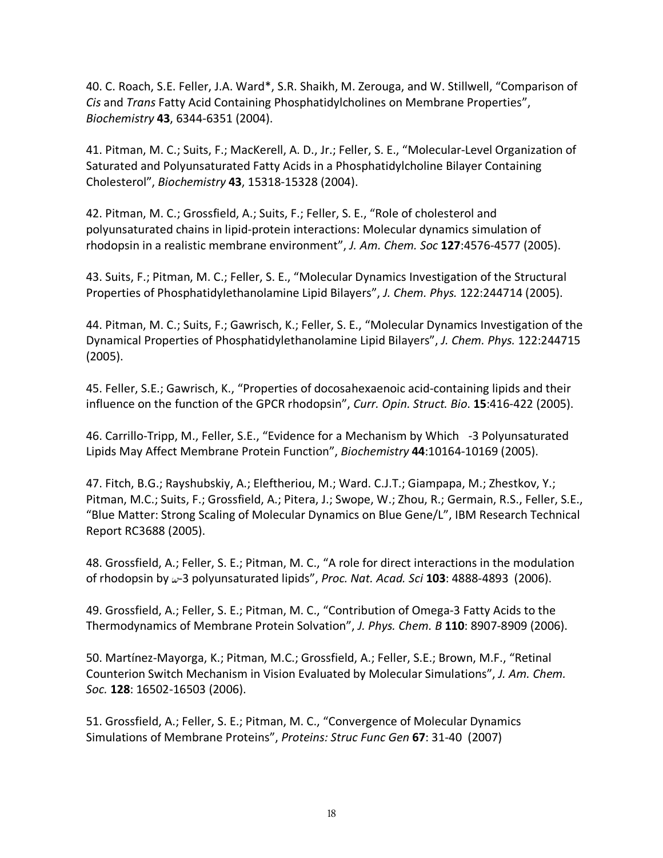40. C. Roach, S.E. Feller, J.A. Ward\*, S.R. Shaikh, M. Zerouga, and W. Stillwell, "Comparison of *Cis* and *Trans* Fatty Acid Containing Phosphatidylcholines on Membrane Properties", *Biochemistry* **43**, 6344-6351 (2004).

41. Pitman, M. C.; Suits, F.; MacKerell, A. D., Jr.; Feller, S. E., "Molecular-Level Organization of Saturated and Polyunsaturated Fatty Acids in a Phosphatidylcholine Bilayer Containing Cholesterol", *Biochemistry* **43**, 15318-15328 (2004).

42. Pitman, M. C.; Grossfield, A.; Suits, F.; Feller, S. E., "Role of cholesterol and polyunsaturated chains in lipid-protein interactions: Molecular dynamics simulation of rhodopsin in a realistic membrane environment", *J. Am. Chem. Soc* **127**:4576-4577 (2005).

43. Suits, F.; Pitman, M. C.; Feller, S. E., "Molecular Dynamics Investigation of the Structural Properties of Phosphatidylethanolamine Lipid Bilayers", *J. Chem. Phys.* 122:244714 (2005).

44. Pitman, M. C.; Suits, F.; Gawrisch, K.; Feller, S. E., "Molecular Dynamics Investigation of the Dynamical Properties of Phosphatidylethanolamine Lipid Bilayers", *J. Chem. Phys.* 122:244715 (2005).

45. Feller, S.E.; Gawrisch, K., "Properties of docosahexaenoic acid-containing lipids and their influence on the function of the GPCR rhodopsin", *Curr. Opin. Struct. Bio*. **15**:416-422 (2005).

46. Carrillo-Tripp, M., Feller, S.E., "Evidence for a Mechanism by Which -3 Polyunsaturated Lipids May Affect Membrane Protein Function", *Biochemistry* **44**:10164-10169 (2005).

47. Fitch, B.G.; Rayshubskiy, A.; Eleftheriou, M.; Ward. C.J.T.; Giampapa, M.; Zhestkov, Y.; Pitman, M.C.; Suits, F.; Grossfield, A.; Pitera, J.; Swope, W.; Zhou, R.; Germain, R.S., Feller, S.E., "Blue Matter: Strong Scaling of Molecular Dynamics on Blue Gene/L", IBM Research Technical Report RC3688 (2005).

48. Grossfield, A.; Feller, S. E.; Pitman, M. C., "A role for direct interactions in the modulation of rhodopsin by  $\omega$ -3 polyunsaturated lipids", *Proc. Nat. Acad. Sci* 103: 4888-4893 (2006).

49. Grossfield, A.; Feller, S. E.; Pitman, M. C., "Contribution of Omega-3 Fatty Acids to the Thermodynamics of Membrane Protein Solvation", *J. Phys. Chem. B* **110**: 8907-8909 (2006).

50. Martínez-Mayorga, K.; Pitman, M.C.; Grossfield, A.; Feller, S.E.; Brown, M.F., "Retinal Counterion Switch Mechanism in Vision Evaluated by Molecular Simulations", *J. Am. Chem. Soc.* **128**: 16502-16503 (2006).

51. Grossfield, A.; Feller, S. E.; Pitman, M. C., "Convergence of Molecular Dynamics Simulations of Membrane Proteins", *Proteins: Struc Func Gen* **67**: 31-40 (2007)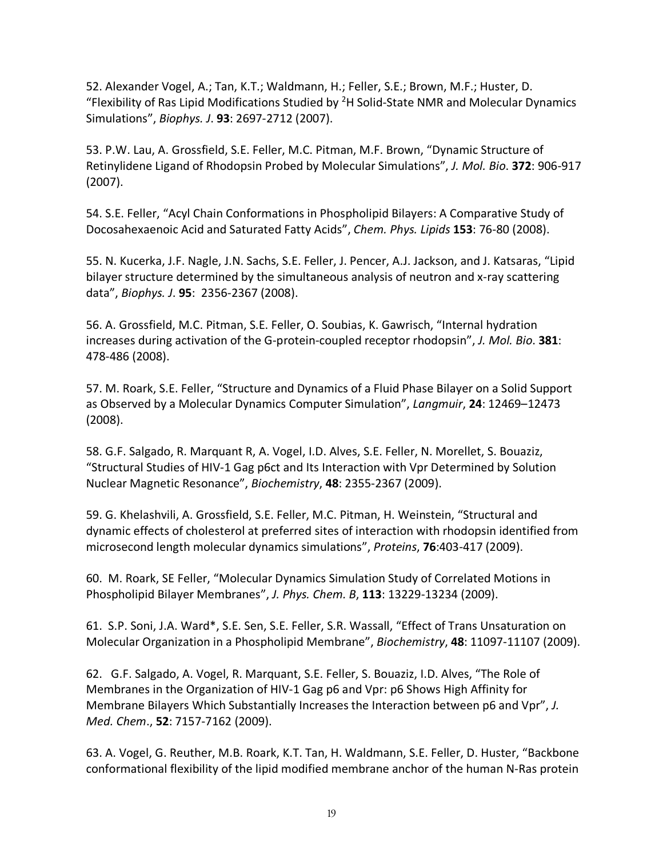52. Alexander Vogel, A.; Tan, K.T.; Waldmann, H.; Feller, S.E.; Brown, M.F.; Huster, D. "Flexibility of Ras Lipid Modifications Studied by  $2H$  Solid-State NMR and Molecular Dynamics Simulations", *Biophys. J*. **93**: 2697-2712 (2007).

53. P.W. Lau, A. Grossfield, S.E. Feller, M.C. Pitman, M.F. Brown, "Dynamic Structure of Retinylidene Ligand of Rhodopsin Probed by Molecular Simulations", *J. Mol. Bio*. **372**: 906-917 (2007).

54. S.E. Feller, "Acyl Chain Conformations in Phospholipid Bilayers: A Comparative Study of Docosahexaenoic Acid and Saturated Fatty Acids", *Chem. Phys. Lipids* **153**: 76-80 (2008).

55. N. Kucerka, J.F. Nagle, J.N. Sachs, S.E. Feller, J. Pencer, A.J. Jackson, and J. Katsaras, "Lipid bilayer structure determined by the simultaneous analysis of neutron and x-ray scattering data", *Biophys. J*. **95**: 2356-2367 (2008).

56. A. Grossfield, M.C. Pitman, S.E. Feller, O. Soubias, K. Gawrisch, "Internal hydration increases during activation of the G-protein-coupled receptor rhodopsin", *J. Mol. Bio*. **381**: 478-486 (2008).

57. M. Roark, S.E. Feller, "Structure and Dynamics of a Fluid Phase Bilayer on a Solid Support as Observed by a Molecular Dynamics Computer Simulation", *Langmuir*, **24**: 12469–12473 (2008).

58. G.F. Salgado, R. Marquant R, A. Vogel, I.D. Alves, S.E. Feller, N. Morellet, S. Bouaziz, "Structural Studies of HIV-1 Gag p6ct and Its Interaction with Vpr Determined by Solution Nuclear Magnetic Resonance", *Biochemistry*, **48**: 2355-2367 (2009).

59. G. Khelashvili, A. Grossfield, S.E. Feller, M.C. Pitman, H. Weinstein, "Structural and dynamic effects of cholesterol at preferred sites of interaction with rhodopsin identified from microsecond length molecular dynamics simulations", *Proteins*, **76**:403-417 (2009).

60. M. Roark, SE Feller, "Molecular Dynamics Simulation Study of Correlated Motions in Phospholipid Bilayer Membranes", *J. Phys. Chem. B*, **113**: 13229-13234 (2009).

61. S.P. Soni, J.A. Ward\*, S.E. Sen, S.E. Feller, S.R. Wassall, "Effect of Trans Unsaturation on Molecular Organization in a Phospholipid Membrane", *Biochemistry*, **48**: 11097-11107 (2009).

62. G.F. Salgado, A. Vogel, R. Marquant, S.E. Feller, S. Bouaziz, I.D. Alves, "The Role of Membranes in the Organization of HIV-1 Gag p6 and Vpr: p6 Shows High Affinity for Membrane Bilayers Which Substantially Increases the Interaction between p6 and Vpr", *J. Med. Chem*., **52**: 7157-7162 (2009).

63. A. Vogel, G. Reuther, M.B. Roark, K.T. Tan, H. Waldmann, S.E. Feller, D. Huster, "Backbone conformational flexibility of the lipid modified membrane anchor of the human N-Ras protein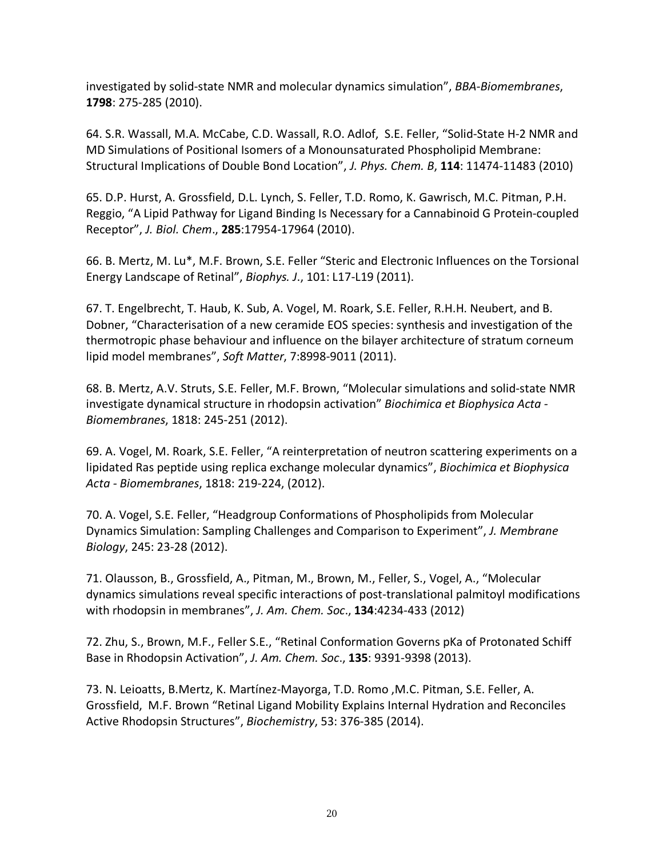investigated by solid-state NMR and molecular dynamics simulation", *BBA-Biomembranes*, **1798**: 275-285 (2010).

64. S.R. Wassall, M.A. McCabe, C.D. Wassall, R.O. Adlof, S.E. Feller, "Solid-State H-2 NMR and MD Simulations of Positional Isomers of a Monounsaturated Phospholipid Membrane: Structural Implications of Double Bond Location", *J. Phys. Chem. B*, **114**: 11474-11483 (2010)

65. D.P. Hurst, A. Grossfield, D.L. Lynch, S. Feller, T.D. Romo, K. Gawrisch, M.C. Pitman, P.H. Reggio, "A Lipid Pathway for Ligand Binding Is Necessary for a Cannabinoid G Protein-coupled Receptor", *J. Biol. Chem*., **285**:17954-17964 (2010).

66. B. Mertz, M. Lu\*, M.F. Brown, S.E. Feller "Steric and Electronic Influences on the Torsional Energy Landscape of Retinal", *Biophys. J*., 101: L17-L19 (2011).

67. T. Engelbrecht, T. Haub, K. Sub, A. Vogel, M. Roark, S.E. Feller, R.H.H. Neubert, and B. Dobner, "Characterisation of a new ceramide EOS species: synthesis and investigation of the thermotropic phase behaviour and influence on the bilayer architecture of stratum corneum lipid model membranes", *Soft Matter*, 7:8998-9011 (2011).

68. B. Mertz, A.V. Struts, S.E. Feller, M.F. Brown, "Molecular simulations and solid-state NMR investigate dynamical structure in rhodopsin activation" *Biochimica et Biophysica Acta - Biomembranes*, 1818: 245-251 (2012).

69. A. Vogel, M. Roark, S.E. Feller, "A reinterpretation of neutron scattering experiments on a lipidated Ras peptide using replica exchange molecular dynamics", *Biochimica et Biophysica Acta - Biomembranes*, 1818: 219-224, (2012).

70. A. Vogel, S.E. Feller, "Headgroup Conformations of Phospholipids from Molecular Dynamics Simulation: Sampling Challenges and Comparison to Experiment", *J. Membrane Biology*, 245: 23-28 (2012).

71. Olausson, B., Grossfield, A., Pitman, M., Brown, M., Feller, S., Vogel, A., "Molecular dynamics simulations reveal specific interactions of post-translational palmitoyl modifications with rhodopsin in membranes", *J. Am. Chem. Soc*., **134**:4234-433 (2012)

72. Zhu, S., Brown, M.F., Feller S.E., "Retinal Conformation Governs pKa of Protonated Schiff Base in Rhodopsin Activation", *J. Am. Chem. Soc*., **135**: 9391-9398 (2013).

73. N. Leioatts, B.Mertz, K. Martínez-Mayorga, T.D. Romo ,M.C. Pitman, S.E. Feller, A. Grossfield, M.F. Brown "Retinal Ligand Mobility Explains Internal Hydration and Reconciles Active Rhodopsin Structures", *Biochemistry*, 53: 376-385 (2014).